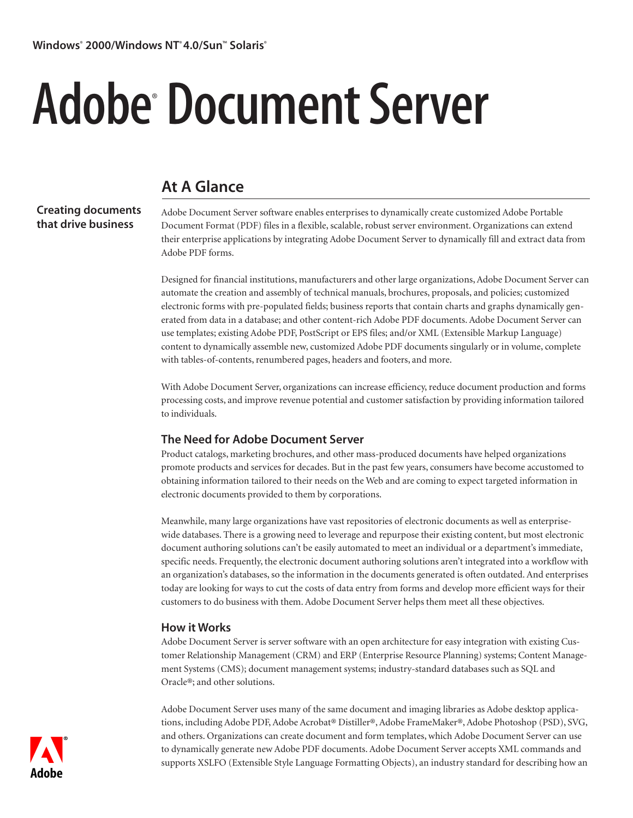# Adobe® Document Server

# **At A Glance**

**Creating documents that drive business**

Adobe Document Server software enables enterprises to dynamically create customized Adobe Portable Document Format (PDF) files in a flexible, scalable, robust server environment. Organizations can extend their enterprise applications by integrating Adobe Document Server to dynamically fill and extract data from Adobe PDF forms.

Designed for financial institutions, manufacturers and other large organizations, Adobe Document Server can automate the creation and assembly of technical manuals, brochures, proposals, and policies; customized electronic forms with pre-populated fields; business reports that contain charts and graphs dynamically generated from data in a database; and other content-rich Adobe PDF documents. Adobe Document Server can use templates; existing Adobe PDF, PostScript or EPS files; and/or XML (Extensible Markup Language) content to dynamically assemble new, customized Adobe PDF documents singularly or in volume, complete with tables-of-contents, renumbered pages, headers and footers, and more.

With Adobe Document Server, organizations can increase efficiency, reduce document production and forms processing costs, and improve revenue potential and customer satisfaction by providing information tailored to individuals.

## **The Need for Adobe Document Server**

Product catalogs, marketing brochures, and other mass-produced documents have helped organizations promote products and services for decades. But in the past few years, consumers have become accustomed to obtaining information tailored to their needs on the Web and are coming to expect targeted information in electronic documents provided to them by corporations.

Meanwhile, many large organizations have vast repositories of electronic documents as well as enterprisewide databases. There is a growing need to leverage and repurpose their existing content, but most electronic document authoring solutions can't be easily automated to meet an individual or a department's immediate, specific needs. Frequently, the electronic document authoring solutions aren't integrated into a workflow with an organization's databases, so the information in the documents generated is often outdated. And enterprises today are looking for ways to cut the costs of data entry from forms and develop more efficient ways for their customers to do business with them. Adobe Document Server helps them meet all these objectives.

### **How it Works**

Adobe Document Server is server software with an open architecture for easy integration with existing Customer Relationship Management (CRM) and ERP (Enterprise Resource Planning) systems; Content Management Systems (CMS); document management systems; industry-standard databases such as SQL and Oracle®; and other solutions.

Adobe Document Server uses many of the same document and imaging libraries as Adobe desktop applications, including Adobe PDF, Adobe Acrobat® Distiller®, Adobe FrameMaker®, Adobe Photoshop (PSD), SVG, and others. Organizations can create document and form templates, which Adobe Document Server can use to dynamically generate new Adobe PDF documents. Adobe Document Server accepts XML commands and supports XSLFO (Extensible Style Language Formatting Objects), an industry standard for describing how an